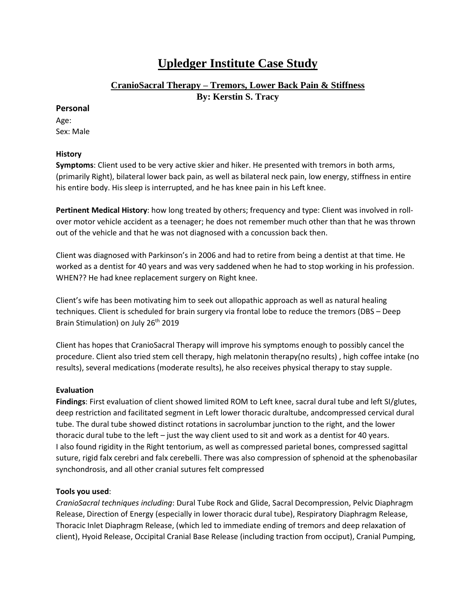# **Upledger Institute Case Study**

### **CranioSacral Therapy – Tremors, Lower Back Pain & Stiffness**

**By: Kerstin S. Tracy**

#### **Personal**

Age: Sex: Male

#### **History**

**Symptoms**: Client used to be very active skier and hiker. He presented with tremors in both arms, (primarily Right), bilateral lower back pain, as well as bilateral neck pain, low energy, stiffness in entire his entire body. His sleep is interrupted, and he has knee pain in his Left knee.

**Pertinent Medical History**: how long treated by others; frequency and type: Client was involved in rollover motor vehicle accident as a teenager; he does not remember much other than that he was thrown out of the vehicle and that he was not diagnosed with a concussion back then.

Client was diagnosed with Parkinson's in 2006 and had to retire from being a dentist at that time. He worked as a dentist for 40 years and was very saddened when he had to stop working in his profession. WHEN?? He had knee replacement surgery on Right knee.

Client's wife has been motivating him to seek out allopathic approach as well as natural healing techniques. Client is scheduled for brain surgery via frontal lobe to reduce the tremors (DBS – Deep Brain Stimulation) on July 26<sup>th</sup> 2019

Client has hopes that CranioSacral Therapy will improve his symptoms enough to possibly cancel the procedure. Client also tried stem cell therapy, high melatonin therapy(no results) , high coffee intake (no results), several medications (moderate results), he also receives physical therapy to stay supple.

## **Evaluation**

**Findings**: First evaluation of client showed limited ROM to Left knee, sacral dural tube and left SI/glutes, deep restriction and facilitated segment in Left lower thoracic duraltube, andcompressed cervical dural tube. The dural tube showed distinct rotations in sacrolumbar junction to the right, and the lower thoracic dural tube to the left – just the way client used to sit and work as a dentist for 40 years. I also found rigidity in the Right tentorium, as well as compressed parietal bones, compressed sagittal suture, rigid falx cerebri and falx cerebelli. There was also compression of sphenoid at the sphenobasilar synchondrosis, and all other cranial sutures felt compressed

#### **Tools you used**:

*CranioSacral techniques including*: Dural Tube Rock and Glide, Sacral Decompression, Pelvic Diaphragm Release, Direction of Energy (especially in lower thoracic dural tube), Respiratory Diaphragm Release, Thoracic Inlet Diaphragm Release, (which led to immediate ending of tremors and deep relaxation of client), Hyoid Release, Occipital Cranial Base Release (including traction from occiput), Cranial Pumping,